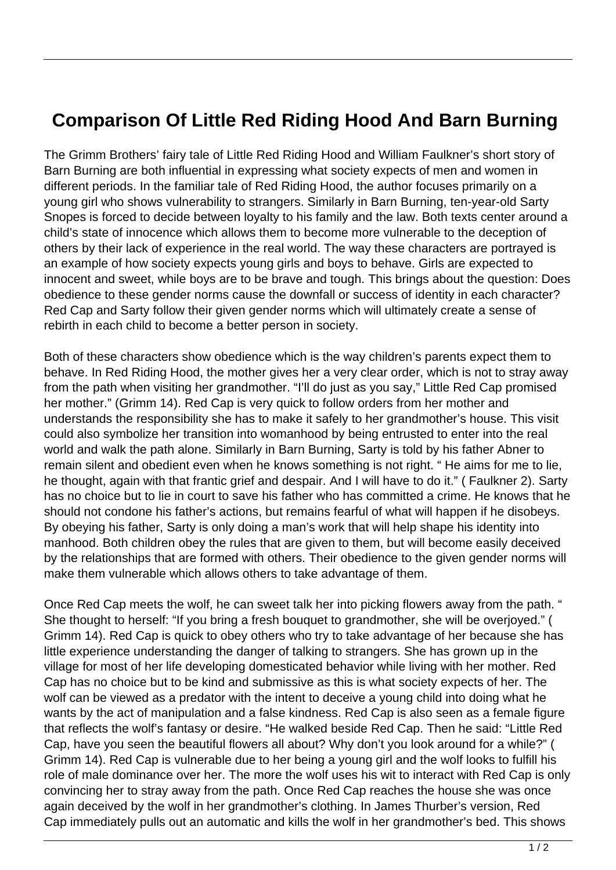## **Comparison Of Little Red Riding Hood And Barn Burning**

The Grimm Brothers' fairy tale of Little Red Riding Hood and William Faulkner's short story of Barn Burning are both influential in expressing what society expects of men and women in different periods. In the familiar tale of Red Riding Hood, the author focuses primarily on a young girl who shows vulnerability to strangers. Similarly in Barn Burning, ten-year-old Sarty Snopes is forced to decide between loyalty to his family and the law. Both texts center around a child's state of innocence which allows them to become more vulnerable to the deception of others by their lack of experience in the real world. The way these characters are portrayed is an example of how society expects young girls and boys to behave. Girls are expected to innocent and sweet, while boys are to be brave and tough. This brings about the question: Does obedience to these gender norms cause the downfall or success of identity in each character? Red Cap and Sarty follow their given gender norms which will ultimately create a sense of rebirth in each child to become a better person in society.

Both of these characters show obedience which is the way children's parents expect them to behave. In Red Riding Hood, the mother gives her a very clear order, which is not to stray away from the path when visiting her grandmother. "I'll do just as you say," Little Red Cap promised her mother." (Grimm 14). Red Cap is very quick to follow orders from her mother and understands the responsibility she has to make it safely to her grandmother's house. This visit could also symbolize her transition into womanhood by being entrusted to enter into the real world and walk the path alone. Similarly in Barn Burning, Sarty is told by his father Abner to remain silent and obedient even when he knows something is not right. " He aims for me to lie, he thought, again with that frantic grief and despair. And I will have to do it." ( Faulkner 2). Sarty has no choice but to lie in court to save his father who has committed a crime. He knows that he should not condone his father's actions, but remains fearful of what will happen if he disobeys. By obeying his father, Sarty is only doing a man's work that will help shape his identity into manhood. Both children obey the rules that are given to them, but will become easily deceived by the relationships that are formed with others. Their obedience to the given gender norms will make them vulnerable which allows others to take advantage of them.

Once Red Cap meets the wolf, he can sweet talk her into picking flowers away from the path. " She thought to herself: "If you bring a fresh bouquet to grandmother, she will be overjoyed." ( Grimm 14). Red Cap is quick to obey others who try to take advantage of her because she has little experience understanding the danger of talking to strangers. She has grown up in the village for most of her life developing domesticated behavior while living with her mother. Red Cap has no choice but to be kind and submissive as this is what society expects of her. The wolf can be viewed as a predator with the intent to deceive a young child into doing what he wants by the act of manipulation and a false kindness. Red Cap is also seen as a female figure that reflects the wolf's fantasy or desire. "He walked beside Red Cap. Then he said: "Little Red Cap, have you seen the beautiful flowers all about? Why don't you look around for a while?" ( Grimm 14). Red Cap is vulnerable due to her being a young girl and the wolf looks to fulfill his role of male dominance over her. The more the wolf uses his wit to interact with Red Cap is only convincing her to stray away from the path. Once Red Cap reaches the house she was once again deceived by the wolf in her grandmother's clothing. In James Thurber's version, Red Cap immediately pulls out an automatic and kills the wolf in her grandmother's bed. This shows